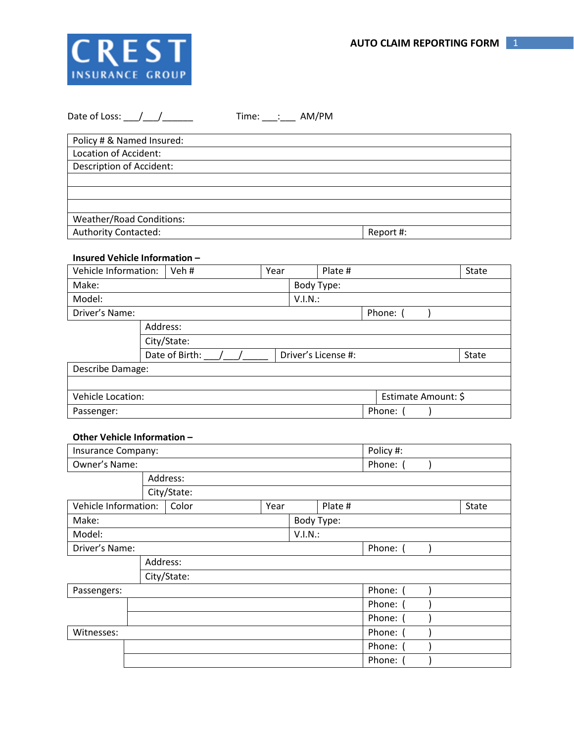| <b>AUTO CLAIM REPORTING FORM</b> |  |
|----------------------------------|--|
|----------------------------------|--|



| Date of Loss: ////                   |                    |  |                    | Time: ___: ____ AM/PM |                       |                     |                     |       |  |
|--------------------------------------|--------------------|--|--------------------|-----------------------|-----------------------|---------------------|---------------------|-------|--|
| Policy # & Named Insured:            |                    |  |                    |                       |                       |                     |                     |       |  |
| Location of Accident:                |                    |  |                    |                       |                       |                     |                     |       |  |
| <b>Description of Accident:</b>      |                    |  |                    |                       |                       |                     |                     |       |  |
|                                      |                    |  |                    |                       |                       |                     |                     |       |  |
|                                      |                    |  |                    |                       |                       |                     |                     |       |  |
|                                      |                    |  |                    |                       |                       |                     |                     |       |  |
| <b>Weather/Road Conditions:</b>      |                    |  |                    |                       |                       |                     |                     |       |  |
| Authority Contacted:                 |                    |  |                    |                       |                       |                     | Report #:           |       |  |
| <b>Insured Vehicle Information -</b> |                    |  |                    |                       |                       |                     |                     |       |  |
| Vehicle Information:                 |                    |  | Veh#               | Year                  |                       | Plate #             |                     | State |  |
| Make:                                |                    |  |                    |                       | Body Type:            |                     |                     |       |  |
| Model:                               |                    |  |                    |                       | V.I.N.:               |                     |                     |       |  |
| Driver's Name:                       |                    |  |                    |                       |                       |                     | Phone: (            |       |  |
|                                      |                    |  | Address:           |                       |                       |                     |                     |       |  |
|                                      |                    |  | City/State:        |                       |                       |                     |                     |       |  |
|                                      |                    |  | Date of Birth: $/$ |                       |                       | Driver's License #: |                     | State |  |
| Describe Damage:                     |                    |  |                    |                       |                       |                     |                     |       |  |
|                                      |                    |  |                    |                       |                       |                     |                     |       |  |
| <b>Vehicle Location:</b>             |                    |  |                    |                       |                       |                     | Estimate Amount: \$ |       |  |
| Passenger:                           |                    |  |                    |                       |                       |                     | Phone: (            |       |  |
|                                      |                    |  |                    |                       |                       |                     |                     |       |  |
| Other Vehicle Information -          |                    |  |                    |                       |                       |                     |                     |       |  |
|                                      | Insurance Company: |  |                    |                       |                       |                     | Policy #:           |       |  |
| Owner's Name:<br>Address:            |                    |  |                    |                       |                       |                     | Phone: (            |       |  |
|                                      |                    |  |                    |                       |                       |                     |                     |       |  |
|                                      |                    |  | City/State:        |                       |                       | Plate #             |                     |       |  |
| Vehicle Information:  <br>Color      |                    |  | Year               |                       |                       |                     | State               |       |  |
| Make:                                |                    |  |                    |                       | Body Type:<br>V.I.N.: |                     |                     |       |  |
| Model:<br>Driver's Name:             |                    |  |                    |                       |                       | Phone: (            |                     |       |  |
|                                      |                    |  | Address:           |                       |                       |                     |                     |       |  |
|                                      |                    |  | City/State:        |                       |                       |                     |                     |       |  |
| Passengers:                          |                    |  |                    |                       |                       |                     | Phone: (            |       |  |
|                                      |                    |  |                    |                       |                       |                     | Phone: (            |       |  |
|                                      |                    |  |                    |                       |                       |                     | Phone: (            |       |  |
| Witnesses:                           |                    |  |                    |                       |                       |                     | Phone: (            |       |  |
|                                      |                    |  |                    |                       |                       |                     | Phone:              |       |  |
|                                      |                    |  |                    |                       |                       |                     | Phone:              |       |  |